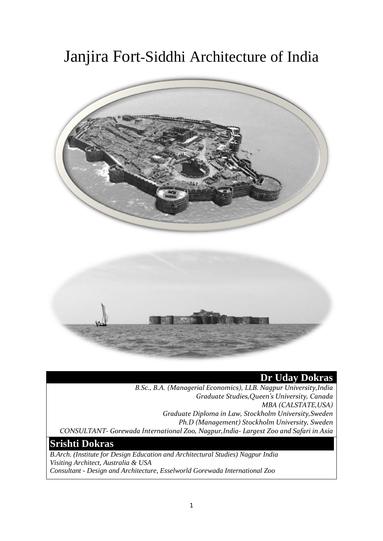# Janjira Fort-Siddhi Architecture of India



# **Dr Uday Dokras**

*B.Sc., B.A. (Managerial Economics), LLB. Nagpur University,India Graduate Studies,Queen's University, Canada MBA (CALSTATE,USA) Graduate Diploma in Law, Stockholm University,Sweden Ph.D (Management) Stockholm University, Sweden CONSULTANT- Gorewada International Zoo, Nagpur,India- Largest Zoo and Safari in Asia*

# **Srishti Dokras**

*B.Arch. (Institute for Design Education and Architectural Studies) Nagpur India Visiting Architect, Australia & USA Consultant - Design and Architecture, Esselworld Gorewada International Zoo*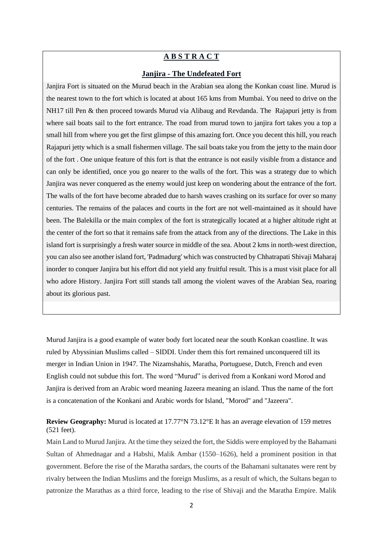# **A B S T R A C T**

### **Janjira - The Undefeated Fort**

Janjira Fort is situated on the Murud beach in the Arabian sea along the Konkan coast line. Murud is the nearest town to the fort which is located at about 165 kms from Mumbai. You need to drive on the NH17 till Pen & then proceed towards Murud via Alibaug and Revdanda. The Rajapuri jetty is from where sail boats sail to the fort entrance. The road from murud town to janjira fort takes you a top a small hill from where you get the first glimpse of this amazing fort. Once you decent this hill, you reach Rajapuri jetty which is a small fishermen village. The sail boats take you from the jetty to the main door of the fort . One unique feature of this fort is that the entrance is not easily visible from a distance and can only be identified, once you go nearer to the walls of the fort. This was a strategy due to which Janjira was never conquered as the enemy would just keep on wondering about the entrance of the fort. The walls of the fort have become abraded due to harsh waves crashing on its surface for over so many centuries. The remains of the palaces and courts in the fort are not well-maintained as it should have been. The Balekilla or the main complex of the fort is strategically located at a higher altitude right at the center of the fort so that it remains safe from the attack from any of the directions. The Lake in this island fort is surprisingly a fresh water source in middle of the sea. About 2 kms in north-west direction, you can also see another island fort, 'Padmadurg' which was constructed by Chhatrapati Shivaji Maharaj inorder to conquer Janjira but his effort did not yield any fruitful result. This is a must visit place for all who adore History. Janjira Fort still stands tall among the violent waves of the Arabian Sea, roaring about its glorious past.

Murud Janjira is a good example of water body fort located near the south Konkan coastline. It was ruled by Abyssinian Muslims called – SIDDI. Under them this fort remained unconquered till its merger in Indian Union in 1947. The Nizamshahis, Maratha, Portuguese, Dutch, French and even English could not subdue this fort. The word "Murud" is derived from a Konkani word Morod and Janjira is derived from an Arabic word meaning Jazeera meaning an island. Thus the name of the fort is a concatenation of the Konkani and Arabic words for Island, "Morod" and "Jazeera".

# **Review Geography:** Murud is located at [17.77°N 73.12°E](https://tools.wmflabs.org/geohack/geohack.php?pagename=Murud,_Raigad¶ms=17.77_N_73.12_E_) It has an average elevation of 159 metres (521 feet).

Main Land to Murud Janjira. At the time they seized the fort, the Siddis were employed by the Bahamani Sultan of Ahmednagar and a Habshi, Malik Ambar (1550–1626), held a prominent position in that government. Before the rise of the Maratha sardars, the courts of the Bahamani sultanates were rent by rivalry between the Indian Muslims and the foreign Muslims, as a result of which, the Sultans began to patronize the Marathas as a third force, leading to the rise of Shivaji and the Maratha Empire. Malik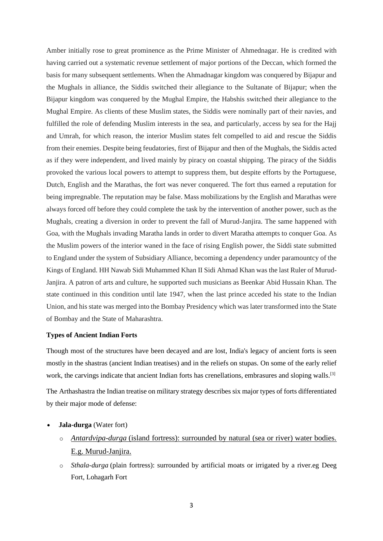Amber initially rose to great prominence as the Prime Minister of Ahmednagar. He is credited with having carried out a systematic revenue settlement of major portions of the Deccan, which formed the basis for many subsequent settlements. When the Ahmadnagar kingdom was conquered by Bijapur and the Mughals in alliance, the Siddis switched their allegiance to the Sultanate of Bijapur; when the Bijapur kingdom was conquered by the Mughal Empire, the Habshis switched their allegiance to the Mughal Empire. As clients of these Muslim states, the Siddis were nominally part of their navies, and fulfilled the role of defending Muslim interests in the sea, and particularly, access by sea for the Hajj and Umrah, for which reason, the interior Muslim states felt compelled to aid and rescue the Siddis from their enemies. Despite being feudatories, first of Bijapur and then of the Mughals, the Siddis acted as if they were independent, and lived mainly by piracy on coastal shipping. The piracy of the Siddis provoked the various local powers to attempt to suppress them, but despite efforts by the Portuguese, Dutch, English and the Marathas, the fort was never conquered. The fort thus earned a reputation for being impregnable. The reputation may be false. Mass mobilizations by the English and Marathas were always forced off before they could complete the task by the intervention of another power, such as the Mughals, creating a diversion in order to prevent the fall of Murud-Janjira. The same happened with Goa, with the Mughals invading Maratha lands in order to divert Maratha attempts to conquer Goa. As the Muslim powers of the interior waned in the face of rising English power, the Siddi state submitted to England under the system of Subsidiary Alliance, becoming a dependency under paramountcy of the Kings of England. HH Nawab Sidi Muhammed Khan II Sidi Ahmad Khan was the last Ruler of Murud-Janjira. A patron of arts and culture, he supported such musicians as Beenkar Abid Hussain Khan. The state continued in this condition until late 1947, when the last prince acceded his state to the Indian Union, and his state was merged into the Bombay Presidency which was later transformed into the State of Bombay and the State of Maharashtra.

#### **Types of Ancient Indian Forts**

Though most of the structures have been decayed and are lost, India's legacy of ancient forts is seen mostly in the shastras (ancient Indian treatises) and in the reliefs on stupas. On some of the early relief work, the carvings indicate that ancient Indian forts has crenellations, embrasures and sloping walls.<sup>[\[3\]](https://en.wikipedia.org/wiki/Forts_in_India#cite_note-FOOTNOTEVirginia_FassRita_Sharma198613-3)</sup>

The [Arthashastra](https://en.wikipedia.org/wiki/Arthashastra) the Indian treatise on military strategy describes six major types of forts differentiated by their major mode of defense:

- **Jala-durga** (Water fort)
	- o *Antardvipa-durga* (island fortress): surrounded by natural (sea or river) water bodies. E.g. [Murud-Janjira.](https://en.wikipedia.org/wiki/Murud-Janjira)
	- o *Sthala-durga* (plain fortress): surrounded by artificial moats or irrigated by a river.eg [Deeg](https://en.wikipedia.org/w/index.php?title=Deeg_Fort&action=edit&redlink=1)  [Fort,](https://en.wikipedia.org/w/index.php?title=Deeg_Fort&action=edit&redlink=1) [Lohagarh Fort](https://en.wikipedia.org/wiki/Lohagarh_Fort)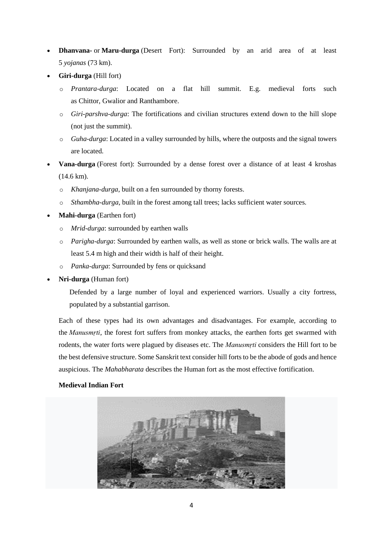- **Dhanvana-** or **Maru-durga** (Desert Fort): Surrounded by an arid area of at least 5 *yojanas* (73 km).
- **Giri-durga** (Hill fort)
	- o *Prantara-durga*: Located on a flat hill summit. E.g. medieval forts such as [Chittor,](https://en.wikipedia.org/wiki/Chittorgarh_Fort) [Gwalior](https://en.wikipedia.org/wiki/Gwalior_Fort) and [Ranthambore.](https://en.wikipedia.org/wiki/Ranthambore_Fort)
	- o *Giri-parshva-durga*: The fortifications and civilian structures extend down to the hill slope (not just the summit).
	- o *Guha-durga*: Located in a valley surrounded by hills, where the outposts and the signal towers are located.
- **Vana-durga** (Forest fort): Surrounded by a dense forest over a distance of at least 4 kroshas (14.6 km).
	- o *Khanjana-durga*, built on a [fen](https://en.wikipedia.org/wiki/Fen) surrounded by thorny forests.
	- o *Sthambha-durga*, built in the forest among tall trees; lacks sufficient water sources.
- **Mahi-durga** (Earthen fort)
	- o *Mrid-durga*: surrounded by earthen walls
	- o *Parigha-durga*: Surrounded by earthen walls, as well as stone or brick walls. The walls are at least 5.4 m high and their width is half of their height.
	- o *Panka-durga*: Surrounded by fens or quicksand
- **Nri-durga** (Human fort)

Defended by a large number of loyal and experienced warriors. Usually a city fortress, populated by a substantial garrison.

Each of these types had its own advantages and disadvantages. For example, according to the *[Manusmṛti](https://en.wikipedia.org/wiki/Manusm%E1%B9%9Bti)*, the forest fort suffers from monkey attacks, the earthen forts get swarmed with rodents, the water forts were plagued by diseases etc. The *Manusmṛti* considers the Hill fort to be the best defensive structure. Some Sanskrit text consider hill forts to be the abode of gods and hence auspicious. The *[Mahabharata](https://en.wikipedia.org/wiki/Mahabharata)* describes the Human fort as the most effective fortification.

# **Medieval Indian Fort**

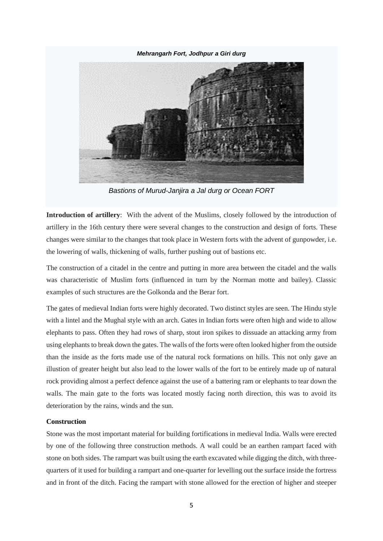*[Mehrangarh Fort,](https://en.wikipedia.org/wiki/Mehrangarh_Fort) [Jodhpur](https://en.wikipedia.org/wiki/Jodhpur) a Giri durg*



*Bastions of [Murud-Janjira](https://en.wikipedia.org/wiki/Murud-Janjira) a Jal durg or Ocean FORT*

**Introduction of artillery**: With the advent of the Muslims, closely followed by the introduction of artillery in the 16th century there were several changes to the construction and design of forts. These changes were similar to the changes that took place in Western forts with the advent of gunpowder, i.e. the lowering of walls, thickening of walls, further pushing out of bastions etc.

The construction of a citadel in the centre and putting in more area between the citadel and the walls was characteristic of Muslim forts (influenced in turn by the Norman motte and bailey). Classic examples of such structures are the Golkonda and the Berar fort.

The gates of medieval Indian forts were highly decorated. Two distinct styles are seen. The Hindu style with a lintel and the Mughal style with an arch. Gates in Indian forts were often high and wide to allow elephants to pass. Often they had rows of sharp, stout iron spikes to dissuade an attacking army from using elephants to break down the gates. The walls of the forts were often looked higher from the outside than the inside as the forts made use of the natural rock formations on hills. This not only gave an illustion of greater height but also lead to the lower walls of the fort to be entirely made up of natural rock providing almost a perfect defence against the use of a battering ram or elephants to tear down the walls. The main gate to the forts was located mostly facing north direction, this was to avoid its deterioration by the rains, winds and the sun.

# **Construction**

Stone was the most important material for building fortifications in medieval India. Walls were erected by one of the following three construction methods. A wall could be an earthen rampart faced with stone on both sides. The rampart was built using the earth excavated while digging the ditch, with threequarters of it used for building a rampart and one-quarter for levelling out the surface inside the fortress and in front of the ditch. Facing the rampart with stone allowed for the erection of higher and steeper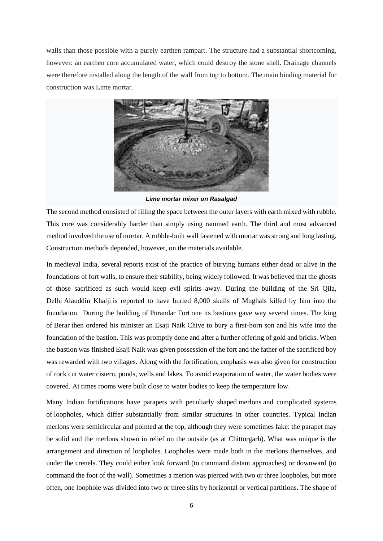walls than those possible with a purely earthen rampart. The structure had a substantial shortcoming, however: an earthen core accumulated water, which could destroy the stone shell. Drainage channels were therefore installed along the length of the wall from top to bottom. The main binding material for construction was Lime mortar.



*Lime mortar mixer on Rasalgad*

The second method consisted of filling the space between the outer layers with earth mixed with rubble. This core was considerably harder than simply using rammed earth. The third and most advanced method involved the use of mortar. A rubble-built wall fastened with mortar was strong and long lasting. Construction methods depended, however, on the materials available.

In medieval India, several reports exist of the practice of burying humans either dead or alive in the foundations of fort walls, to ensure their stability, being widely followed. It was believed that the ghosts of those sacrificed as such would keep evil spirits away. During the building of the Sri Qila, Delhi [Alauddin Khalji](https://en.wikipedia.org/wiki/Alauddin_Khalji) is reported to have buried 8,000 skulls of Mughals killed by him into the foundation. During the building of [Purandar Fort](https://en.wikipedia.org/wiki/Purandar_Fort) one its bastions gave way several times. The king of [Berar](https://en.wikipedia.org/wiki/Berar_Sultanate) then ordered his minister an Esaji Naik Chive to bury a first-born son and his wife into the foundation of the bastion. This was promptly done and after a further offering of gold and bricks. When the bastion was finished Esaji Naik was given possession of the fort and the father of the sacrificed boy was rewarded with two villages. Along with the fortification, emphasis was also given for construction of rock cut water cistern, ponds, wells and lakes. To avoid evaporation of water, the water bodies were covered. At times rooms were built close to water bodies to keep the temperature low.

Many Indian fortifications have parapets with peculiarly shaped [merlons](https://en.wikipedia.org/wiki/Merlon) and complicated systems of [loopholes,](https://en.wikipedia.org/wiki/Arrowslit) which differ substantially from similar structures in other countries. Typical Indian merlons were semicircular and pointed at the top, although they were sometimes fake: the parapet may be solid and the merlons shown in relief on the outside (as at Chittorgarh). What was unique is the arrangement and direction of loopholes. Loopholes were made both in the merlons themselves, and under the crenels. They could either look forward (to command distant approaches) or downward (to command the foot of the wall). Sometimes a merion was pierced with two or three loopholes, but more often, one loophole was divided into two or three slits by horizontal or vertical partitions. The shape of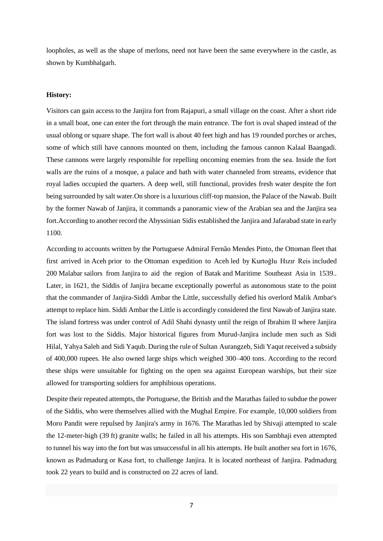loopholes, as well as the shape of merlons, need not have been the same everywhere in the castle, as shown by Kumbhalgarh.

#### **History:**

Visitors can gain access to the Janjira fort from Rajapuri, a small village on the coast. After a short ride in a small boat, one can enter the fort through the main entrance. The fort is oval shaped instead of the usual oblong or square shape. The fort wall is about 40 feet high and has 19 rounded porches or arches, some of which still have cannons mounted on them, including the famous cannon Kalaal Baangadi. These cannons were largely responsible for repelling oncoming enemies from the sea. Inside the fort walls are the ruins of a mosque, a palace and bath with water channeled from streams, evidence that royal ladies occupied the quarters. A deep well, still functional, provides fresh water despite the fort being surrounded by salt water.On shore is a luxurious cliff-top mansion, the Palace of the Nawab. Built by the former Nawab of Janjira, it commands a panoramic view of the Arabian sea and the Janjira sea fort.According to another record the Abyssinian [Sidis](https://en.wikipedia.org/wiki/Siddi) established the Janjira and Jafarabad state in early 1100.

According to accounts written by the Portuguese Admiral [Fernão Mendes Pinto,](https://en.wikipedia.org/wiki/Fern%C3%A3o_Mendes_Pinto) the [Ottoman](https://en.wikipedia.org/wiki/Ottoman_Empire) fleet that first arrived in [Aceh](https://en.wikipedia.org/wiki/Aceh) prior to the [Ottoman expedition to Aceh](https://en.wikipedia.org/wiki/Ottoman_expedition_to_Aceh) led by [Kurtoğlu Hızır Reis](https://en.wikipedia.org/wiki/Kurto%C4%9Flu_H%C4%B1z%C4%B1r_Reis) included 200 [Malabar](https://en.wikipedia.org/wiki/Malabars) sailors from [Janjira](https://en.wikipedia.org/wiki/Janjira_State) to aid the region of [Batak](https://en.wikipedia.org/wiki/Batak_(Indonesia)) and [Maritime Southeast Asia](https://en.wikipedia.org/wiki/Maritime_Southeast_Asia) in 1539.. Later, in 1621, the Siddis of Janjira became exceptionally powerful as autonomous state to the point that the commander of Janjira-Siddi Ambar the Little, successfully defied his overlord Malik Ambar's attempt to replace him. Siddi Ambar the Little is accordingly considered the first Nawab of Janjira state. The island fortress was under control of Adil Shahi dynasty until the reign of Ibrahim II where Janjira fort was lost to the Siddis. Major historical figures from Murud-Janjira include men such as Sidi Hilal, [Yahya Saleh](https://en.wikipedia.org/wiki/Yahya_Saleh) and [Sidi Yaqub.](https://en.wikipedia.org/wiki/Sidi_Yaqub) During the rule of Sultan [Aurangzeb,](https://en.wikipedia.org/wiki/Aurangzeb) Sidi Yaqut received a subsidy of 400,000 rupees. He also owned large ships which weighed 300–400 tons. According to the record these ships were unsuitable for fighting on the open sea against European warships, but their size allowed for transporting soldiers for amphibious operations.

Despite their repeated attempts, the [Portuguese,](https://en.wikipedia.org/wiki/Portugal) the [British](https://en.wikipedia.org/wiki/United_Kingdom) and the [Marathas](https://en.wikipedia.org/wiki/Marathas) failed to subdue the power of the Siddis, who were themselves allied with the [Mughal Empire.](https://en.wikipedia.org/wiki/Mughal_Empire) For example, 10,000 soldiers from Moro Pandit were repulsed by Janjira's army in 1676. The [Marathas](https://en.wikipedia.org/wiki/Maratha) led by [Shivaji](https://en.wikipedia.org/wiki/Shivaji) attempted to scale the 12-meter-high (39 ft) [granite](https://en.wikipedia.org/wiki/Granite) walls; he failed in all his attempts. His son [Sambhaji](https://en.wikipedia.org/wiki/Sambhaji) even attempted to tunnel his way into the fort but was unsuccessful in all his attempts. He built another sea fort in 1676, known as [Padmadurg](https://en.wikipedia.org/wiki/Padmadurg) or Kasa fort, to challenge Janjira. It is located northeast of Janjira. Padmadurg took 22 years to build and is constructed on 22 acres of land.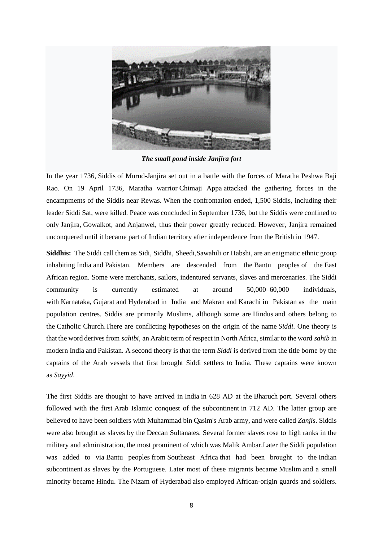

*The small pond inside Janjira fort*

In the year 1736, [Siddis](https://en.wikipedia.org/wiki/Siddi) of Murud-Janjira set out in a battle with the forces of Maratha Peshwa [Baji](https://en.wikipedia.org/wiki/Baji_Rao_I)  [Rao.](https://en.wikipedia.org/wiki/Baji_Rao_I) On 19 April 1736, Maratha warrior [Chimaji Appa](https://en.wikipedia.org/wiki/Chimaji_Appa) attacked the gathering forces in the encampments of the Siddis near Rewas. When the confrontation ended, 1,500 Siddis, including their leader Siddi Sat, were killed. Peace was concluded in September 1736, but the Siddis were confined to only [Janjira,](https://en.wikipedia.org/wiki/Janjira_State) [Gowalkot,](https://en.wikipedia.org/wiki/Gowalkot) and [Anjanwel,](https://en.wikipedia.org/wiki/Anjanvel) thus their power greatly reduced. However, Janjira remained unconquered until it became part of Indian territory after independence from the British in 1947.

**Siddhis:** The Siddi call them as Sidi, Siddhi, Sheedi,Sawahili or Habshi, are an enigmatic ethnic group inhabiting [India](https://en.wikipedia.org/wiki/India) and [Pakistan.](https://en.wikipedia.org/wiki/Pakistan) Members are descended from the [Bantu peoples](https://en.wikipedia.org/wiki/Bantu_peoples) of the [East](https://en.wikipedia.org/wiki/East_Africa)  [African](https://en.wikipedia.org/wiki/East_Africa) region. Some were merchants, sailors, [indentured servants,](https://en.wikipedia.org/wiki/Indentured_servitude) slaves and mercenaries. The Siddi community is currently estimated at around 50,000–60,000 individuals, with [Karnataka,](https://en.wikipedia.org/wiki/Karnataka) [Gujarat](https://en.wikipedia.org/wiki/Gujarat) and [Hyderabad](https://en.wikipedia.org/wiki/Hyderabad) in India and [Makran](https://en.wikipedia.org/wiki/Makran) and [Karachi](https://en.wikipedia.org/wiki/Karachi) in Pakistan as the main population centres. Siddis are primarily Muslims, although some are [Hindus](https://en.wikipedia.org/wiki/Hindus) and others belong to the [Catholic Church.](https://en.wikipedia.org/wiki/Catholic_Church)There are conflicting hypotheses on the origin of the name *Siddi*. One theory is that the word derives from *sahibi,* an Arabic term of respect in North Africa, similar to the word *sahib* in modern India and Pakistan. A second theory is that the term *Siddi* is derived from the title borne by the captains of the Arab vessels that first brought Siddi settlers to India. These captains were known as *[Sayyid](https://en.wikipedia.org/wiki/Sayyid)*.

The first Siddis are thought to have arrived in [India](https://en.wikipedia.org/wiki/India) in 628 AD at the [Bharuch](https://en.wikipedia.org/wiki/Bharuch) port. Several others followed with the first [Arab Islamic conquest of the subcontinent](https://en.wikipedia.org/wiki/Muslim_conquests_in_the_Indian_subcontinent) in 712 AD. The latter group are believed to have been soldiers with [Muhammad bin Qasim'](https://en.wikipedia.org/wiki/Muhammad_bin_Qasim)s Arab army, and were called *[Zanjis](https://en.wikipedia.org/wiki/Zanj)*. Siddis were also brought as slaves by the [Deccan Sultanates.](https://en.wikipedia.org/wiki/Deccan_sultanates) Several former slaves rose to high ranks in the military and administration, the most prominent of which was [Malik Ambar.](https://en.wikipedia.org/wiki/Malik_Ambar)Later the Siddi population was added to via [Bantu peoples](https://en.wikipedia.org/wiki/Bantu_peoples) from [Southeast Africa](https://en.wikipedia.org/wiki/African_Great_Lakes) that had been brought to the [Indian](https://en.wikipedia.org/wiki/Indian_subcontinent)  [subcontinent](https://en.wikipedia.org/wiki/Indian_subcontinent) as slaves by the Portuguese. Later most of these migrants became [Muslim](https://en.wikipedia.org/wiki/Muslim) and a small minority became [Hindu.](https://en.wikipedia.org/wiki/Hindu) The [Nizam of Hyderabad](https://en.wikipedia.org/wiki/Nizam_of_Hyderabad) also employed African-origin guards and soldiers.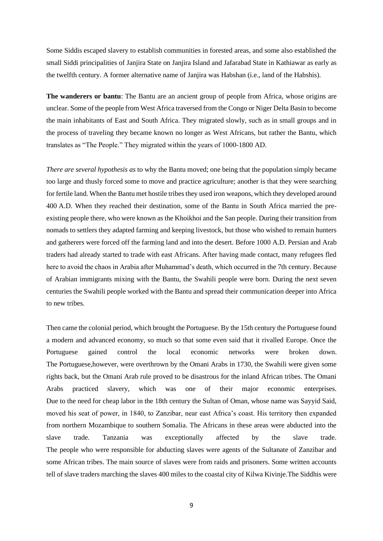Some Siddis escaped slavery to establish communities in forested areas, and some also established the small Siddi principalities of [Janjira State](https://en.wikipedia.org/wiki/Janjira_State) on Janjira Island and [Jafarabad State](https://en.wikipedia.org/wiki/Jafarabad_State) in [Kathiawar](https://en.wikipedia.org/wiki/Kathiawar) as early as the twelfth century. A former alternative name of [Janjira](https://en.wikipedia.org/wiki/Janjira_State) was Habshan (i.e., land of the Habshis).

**The wanderers or bantu**: The Bantu are an ancient group of people from Africa, whose origins are unclear. Some of the people from West Africa traversed from the Congo or Niger Delta Basin to become the main inhabitants of East and South Africa. They migrated slowly, such as in small groups and in the process of traveling they became known no longer as West Africans, but rather the Bantu, which translates as "The People." They migrated within the years of 1000-1800 AD.

*There are several hypothesis as* to why the Bantu moved; one being that the population simply became too large and thusly forced some to move and practice agriculture; another is that they were searching for fertile land. When the Bantu met hostile tribes they used iron weapons, which they developed around 400 A.D. When they reached their destination, some of the Bantu in South Africa married the preexisting people there, who were known as the Khoikhoi and the San people. During their transition from nomads to settlers they adapted farming and keeping livestock, but those who wished to remain hunters and gatherers were forced off the farming land and into the desert. Before 1000 A.D. Persian and Arab traders had already started to trade with east Africans. After having made contact, many refugees fled here to avoid the chaos in Arabia after Muhammad's death, which occurred in the 7th century. Because of Arabian immigrants mixing with the Bantu, the Swahili people were born. During the next seven centuries the Swahili people worked with the Bantu and spread their communication deeper into Africa to new tribes.

Then came the colonial period, which brought the Portuguese. By the 15th century the Portuguese found a modern and advanced economy, so much so that some even said that it rivalled Europe. Once the Portuguese gained control the local economic networks were broken down. The Portuguese,however, were overthrown by the Omani Arabs in 1730, the Swahili were given some rights back, but the Omani Arab rule proved to be disastrous for the inland African tribes. The Omani Arabs practiced slavery, which was one of their major economic enterprises. Due to the need for cheap labor in the 18th century the Sultan of Oman, whose name was Sayyid Said, moved his seat of power, in 1840, to Zanzibar, near east Africa's coast. His territory then expanded from northern Mozambique to southern Somalia. The Africans in these areas were abducted into the slave trade. Tanzania was exceptionally affected by the slave trade. The people who were responsible for abducting slaves were agents of the Sultanate of Zanzibar and some African tribes. The main source of slaves were from raids and prisoners. Some written accounts tell of slave traders marching the slaves 400 miles to the coastal city of Kilwa Kivinje.The Siddhis were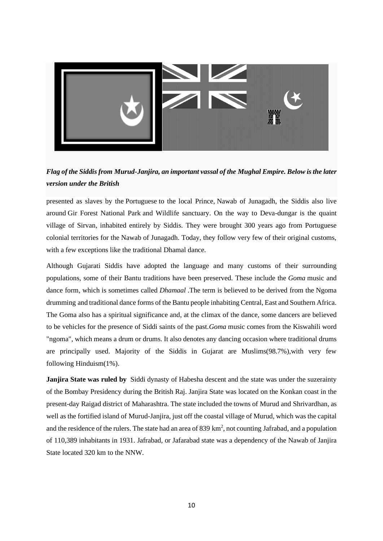

*Flag of the Siddis from [Murud-Janjira,](https://en.wikipedia.org/wiki/Murud-Janjira) an important vassal of the [Mughal Empire.](https://en.wikipedia.org/wiki/Mughal_Empire) Below is the later version under the British*

presented as slaves by the [Portuguese](https://en.wikipedia.org/wiki/Portugal) to the local Prince, [Nawab of Junagadh,](https://en.wikipedia.org/wiki/Nawab_of_Junagadh) the Siddis also live around [Gir Forest National Park](https://en.wikipedia.org/wiki/Gir_Forest_National_Park) and Wildlife sanctuary. On the way to Deva-dungar is the quaint village of Sirvan, inhabited entirely by Siddis. They were brought 300 years ago from Portuguese colonial territories for the Nawab of Junagadh. Today, they follow very few of their original customs, with a few exceptions like the traditional Dhamal dance.

Although Gujarati Siddis have adopted the language and many customs of their surrounding populations, some of their Bantu traditions have been preserved. These include the *Goma* music and dance form, which is sometimes called *Dhamaal* .The term is believed to be derived from the [Ngoma](https://en.wikipedia.org/wiki/Ngoma_drums)  [drumming](https://en.wikipedia.org/wiki/Ngoma_drums) and traditional dance forms of the Bantu people inhabiting Central, East and Southern Africa. The Goma also has a spiritual significance and, at the climax of the dance, some dancers are believed to be vehicles for the presence of Siddi saints of the past.*Goma* music comes from the [Kiswahili](https://en.wikipedia.org/wiki/Swahili_language) word "ngoma", which means a drum or drums. It also denotes any dancing occasion where traditional drums are principally used. Majority of the Siddis in Gujarat are Muslims(98.7%),with very few following [Hinduism\(](https://en.wikipedia.org/wiki/Hinduism)1%).

**Janjira State was ruled by** [Siddi](https://en.wikipedia.org/wiki/Siddi) dynasty of [Habesha](https://en.wikipedia.org/wiki/Habesha) descent and the state was under the suzerainty of the [Bombay Presidency](https://en.wikipedia.org/wiki/Bombay_Presidency) during the [British Raj.](https://en.wikipedia.org/wiki/British_Raj) Janjira State was located on the [Konkan coast](https://en.wikipedia.org/wiki/Konkan_coast) in the present-day [Raigad district](https://en.wikipedia.org/wiki/Raigad_district) of [Maharashtra.](https://en.wikipedia.org/wiki/Maharashtra) The state included the towns of [Murud](https://en.wikipedia.org/wiki/Murud,_Raigad) and [Shrivardhan,](https://en.wikipedia.org/wiki/Shrivardhan) as well as the fortified island of [Murud-Janjira,](https://en.wikipedia.org/wiki/Murud-Janjira) just off the coastal village of Murud, which was the capital and the residence of the rulers. The state had an area of 839  $\text{km}^2$ , not counting [Jafrabad,](https://en.wikipedia.org/wiki/Jafarabad_State) and a population of 110,389 inhabitants in 1931. Jafrabad, or Jafarabad state was a dependency of the [Nawab](https://en.wikipedia.org/wiki/Nawab) of Janjira State located 320 km to the [NNW.](https://en.wikipedia.org/wiki/North-northwest)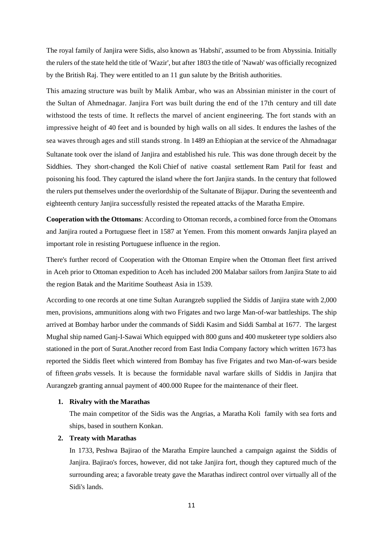The royal family of Janjira were [Sidis,](https://en.wikipedia.org/wiki/Siddi) also known as 'Habshi', assumed to be from [Abyssinia.](https://en.wikipedia.org/wiki/Ethiopian_Empire) Initially the rulers of the state held the title of 'Wazir', but after 1803 the title of ['Nawab'](https://en.wikipedia.org/wiki/Nawab) was officially recognized by the British Raj. They were entitled to an 11 [gun salute](https://en.wikipedia.org/wiki/Gun_salute) by the British authorities.

This amazing structure was built by Malik Ambar, who was an Abssinian minister in the court of the Sultan of Ahmednagar. Janjira Fort was built during the end of the 17th century and till date withstood the tests of time. It reflects the marvel of ancient engineering. The fort stands with an impressive height of 40 feet and is bounded by high walls on all sides. It endures the lashes of the sea waves through ages and still stands strong. In 1489 an Ethiopian at the service of the [Ahmadnagar](https://en.wikipedia.org/wiki/Ahmadnagar_Sultanate)  [Sultanate](https://en.wikipedia.org/wiki/Ahmadnagar_Sultanate) took over the island of Janjira and established his rule. This was done through deceit by the Siddhies. They short-changed the [Koli](https://en.wikipedia.org/wiki/Koli_people) [Chief](https://en.wikipedia.org/wiki/Patil_(title)) of native coastal settlement [Ram Patil](https://en.wikipedia.org/wiki/Ram_Patil) for feast and poisoning his food. They captured the island where the fort Janjira stands. In the century that followed the rulers put themselves under the overlordship of the [Sultanate of Bijapur.](https://en.wikipedia.org/wiki/Sultanate_of_Bijapur) During the seventeenth and eighteenth century Janjira successfully resisted the repeated attacks of the [Maratha Empire.](https://en.wikipedia.org/wiki/Maratha_Empire)

**Cooperation with the Ottomans**: According to [Ottoman](https://en.wikipedia.org/wiki/Ottoman_Empire) records, a combined force from the Ottomans and Janjira routed a Portuguese fleet in 1587 at [Yemen.](https://en.wikipedia.org/wiki/Yemen) From this moment onwards Janjira played an important role in resisting Portuguese influence in the region.

There's further record of Cooperation with the [Ottoman Empire](https://en.wikipedia.org/wiki/Ottoman_Empire) when the Ottoman fleet first arrived in [Aceh](https://en.wikipedia.org/wiki/Aceh) prior to [Ottoman expedition to Aceh](https://en.wikipedia.org/wiki/Ottoman_expedition_to_Aceh) has included 200 [Malabar](https://en.wikipedia.org/wiki/Malabars) sailors from Janjira State to aid the region [Batak](https://en.wikipedia.org/wiki/Batak_(Indonesia)) and the [Maritime Southeast Asia](https://en.wikipedia.org/wiki/Maritime_Southeast_Asia) in 1539.

According to one records at one time Sultan Aurangzeb supplied the Siddis of Janjira state with 2,000 men, provisions, ammunitions along with two [Frigates](https://en.wikipedia.org/wiki/Frigates) and two large [Man-of-war](https://en.wikipedia.org/wiki/Man-of-war) battleships. The ship arrived at Bombay harbor under the commands of Siddi Kasim and Siddi Sambal at 1677. The largest Mughal ship named [Ganj-I-Sawai](https://en.wikipedia.org/wiki/Ganj-I-Sawai) Which equipped with 800 guns and 400 musketeer type soldiers also stationed in the port of Surat.Another record from [East India Company](https://en.wikipedia.org/wiki/East_India_Company) factory which written 1673 has reported the Siddis fleet which wintered from Bombay has five Frigates and two Man-of-wars beside of fifteen *grabs* vessels. It is because the formidable naval warfare skills of Siddis in Janjira that Aurangzeb granting annual payment of 400.000 [Rupee](https://en.wikipedia.org/wiki/Rupee) for the maintenance of their fleet.

#### **1. Rivalry with the Marathas**

The main competitor of the Sidis was the [Angrias,](https://en.wikipedia.org/wiki/Kanhoji_Angre) a Maratha [Koli](https://en.wikipedia.org/wiki/Koli_people) family with sea forts and ships, based in southern Konkan.

#### **2. Treaty with Marathas**

In 1733, [Peshwa Bajirao](https://en.wikipedia.org/wiki/Baji_Rao_I) of the [Maratha Empire](https://en.wikipedia.org/wiki/Maratha_Empire) launched a campaign against the Siddis of Janjira. Bajirao's forces, however, did not take Janjira fort, though they captured much of the surrounding area; a favorable treaty gave the Marathas indirect control over virtually all of the Sidi's lands.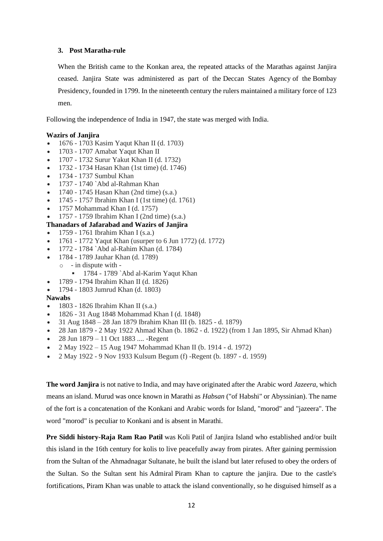# **3. Post Maratha-rule**

When the British came to the Konkan area, the repeated attacks of the Marathas against Janjira ceased. Janjira State was administered as part of the [Deccan States Agency](https://en.wikipedia.org/wiki/Deccan_States_Agency) of the [Bombay](https://en.wikipedia.org/wiki/Bombay_Presidency)  [Presidency,](https://en.wikipedia.org/wiki/Bombay_Presidency) founded in 1799. In the nineteenth century the rulers maintained a military force of 123 men.

Following the [independence of India](https://en.wikipedia.org/wiki/Independence_of_India) in 1947, the state was merged with India.

#### **Wazirs of Janjira**

- 1676 1703 Kasim Yaqut Khan II (d. 1703)
- 1703 1707 Amabat Yaqut Khan II
- 1707 1732 Surur Yakut Khan II (d. 1732)
- 1732 1734 Hasan Khan (1st time) (d. 1746)
- 1734 1737 Sumbul Khan
- 1737 1740 `Abd al-Rahman Khan
- 1740 1745 Hasan Khan (2nd time) (s.a.)
- 1745 1757 Ibrahim Khan I (1st time) (d. 1761)
- 1757 Mohammad Khan I (d. 1757)
- 1757 1759 Ibrahim Khan I (2nd time) (s.a.)

# **Thanadars of Jafarabad and Wazirs of Janjira**

- 1759 1761 Ibrahim Khan I (s.a.)
- 1761 1772 Yaqut Khan (usurper to 6 Jun 1772) (d. 1772)
- 1772 1784 `Abd al-Rahim Khan (d. 1784)
- 1784 1789 Jauhar Khan (d. 1789)  $\circ$  - in dispute with -
	- **•** 1784 1789 `Abd al-Karim Yaqut Khan
- 1789 1794 Ibrahim Khan II (d. 1826)
- 1794 1803 Jumrud Khan (d. 1803)

#### **Nawabs**

- 1803 1826 Ibrahim Khan II (s.a.)
- 1826 31 Aug 1848 Mohammad Khan I (d. 1848)
- 31 Aug 1848 28 Jan 1879 Ibrahim Khan III (b. 1825 d. 1879)
- 28 Jan 1879 2 May 1922 Ahmad Khan (b. 1862 d. 1922) (from 1 Jan 1895, Sir Ahmad Khan)
- 28 Jun 1879 11 Oct 1883 .... -Regent
- 2 May 1922 15 Aug 1947 Mohammad Khan II (b. 1914 d. 1972)
- 2 May 1922 9 Nov 1933 Kulsum Begum (f) -Regent (b. 1897 d. 1959)

**The word Janjira** is not native to India, and may have originated after the [Arabic](https://en.wikipedia.org/wiki/Arabic_language) word *Jazeera*, which means an island. Murud was once known in Marathi as *Habsan* ("of [Habshi"](https://en.wikipedia.org/wiki/Habshi) or Abyssinian). The name of the fort is a concatenation of the Konkani and Arabic words for Island, "morod" and "jazeera". The word "morod" is peculiar to Konkani and is absent in Marathi.

**Pre Siddi history[-Raja Ram Rao Patil](https://en.wikipedia.org/wiki/Ram_Patil)** was [Koli](https://en.wikipedia.org/wiki/Koli_people) [Patil](https://en.wikipedia.org/wiki/Patil_(title)) of Janjira Island who established and/or built this island in the 16th century for kolis to live peacefully away from pirates. After gaining permission from the [Sultan](https://en.wikipedia.org/wiki/Sultan) of the [Ahmadnagar Sultanate,](https://en.wikipedia.org/wiki/Ahmadnagar_Sultanate) he built the island but later refused to obey the orders of the Sultan. So the Sultan sent his [Admiral](https://en.wikipedia.org/wiki/Admiral) Piram Khan to capture the janjira. Due to the castle's fortifications, Piram Khan was unable to attack the island conventionally, so he disguised himself as a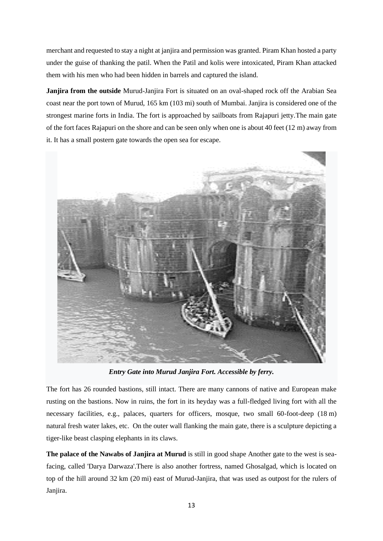merchant and requested to stay a night at janjira and permission was granted. Piram Khan hosted a party under the guise of thanking the patil. When the Patil and kolis were intoxicated, Piram Khan attacked them with his men who had been hidden in barrels and captured the island.

**Janjira from the outside** Murud-Janjira Fort is situated on an oval-shaped rock off the Arabian Sea coast near the port town of Murud, 165 km (103 mi) south of [Mumbai.](https://en.wikipedia.org/wiki/Mumbai) Janjira is considered one of the strongest marine forts in India. The fort is approached by sailboats from Rajapuri jetty.The main gate of the fort faces Rajapuri on the shore and can be seen only when one is about 40 feet (12 m) away from it. It has a small postern gate towards the open sea for escape.



*Entry Gate into Murud Janjira Fort. Accessible by ferry.*

The fort has 26 rounded bastions, still intact. There are many cannons of native and European make rusting on the bastions. Now in ruins, the fort in its heyday was a full-fledged living fort with all the necessary facilities, e.g., palaces, quarters for officers, mosque, two small 60-foot-deep (18 m) natural [fresh water](https://en.wikipedia.org/wiki/Fresh_water) [lakes,](https://en.wikipedia.org/wiki/Lake) etc. On the outer wall flanking the main gate, there is a sculpture depicting a tiger-like beast clasping elephants in its claws.

**The palace of the Nawabs of Janjira at Murud** is still in good shape Another gate to the west is seafacing, called 'Darya Darwaza'.There is also another fortress, named Ghosalgad, which is located on top of the hill around 32 km (20 mi) east of Murud-Janjira, that was used as [outpost](https://en.wikipedia.org/wiki/Outpost_(military)) for the rulers of Janjira.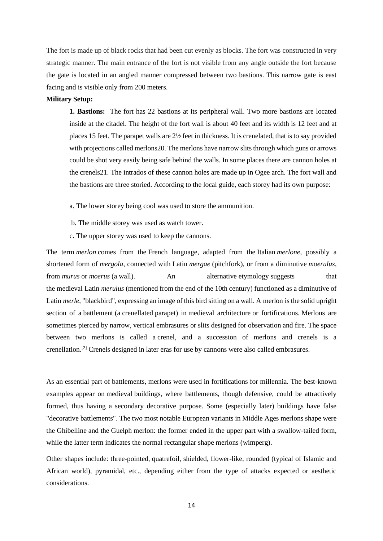The fort is made up of black rocks that had been cut evenly as blocks. The fort was constructed in very strategic manner. The main entrance of the fort is not visible from any angle outside the fort because the gate is located in an angled manner compressed between two bastions. This narrow gate is east facing and is visible only from 200 meters.

#### **Military Setup:**

**1. Bastions:** The fort has 22 bastions at its peripheral wall. Two more bastions are located inside at the citadel. The height of the fort wall is about 40 feet and its width is 12 feet and at places 15 feet. The parapet walls are 2½ feet in thickness. It is crenelated, that is to say provided with projections called merlons20. The merlons have narrow slits through which guns or arrows could be shot very easily being safe behind the walls. In some places there are cannon holes at the crenels21. The intrados of these cannon holes are made up in Ogee arch. The fort wall and the bastions are three storied. According to the local guide, each storey had its own purpose:

- a. The lower storey being cool was used to store the ammunition.
- b. The middle storey was used as watch tower.
- c. The upper storey was used to keep the cannons.

The term *merlon* comes from the [French language,](https://en.wikipedia.org/wiki/French_language) adapted from the [Italian](https://en.wikipedia.org/wiki/Italian_language) *merlone*, possibly a shortened form of *mergola*, connected with [Latin](https://en.wikipedia.org/wiki/Latin) *mergae* [\(pitchfork\)](https://en.wikipedia.org/wiki/Pitchfork), or from a diminutive *moerulus*, from *murus* or *moerus* (a [wall\)](https://en.wikipedia.org/wiki/Wall). An alternative [etymology](https://en.wikipedia.org/wiki/Etymology) suggests that the [medieval](https://en.wikipedia.org/wiki/Medieval) Latin *merulus* (mentioned from the end of the 10th century) functioned as a diminutive of Latin *merle*, ["blackbird"](https://en.wikipedia.org/wiki/Common_Blackbird), expressing an image of this bird sitting on a wall. A merlon is the solid upright section of a [battlement](https://en.wikipedia.org/wiki/Battlement) (a [crenellated](https://en.wikipedia.org/wiki/Crenellated) [parapet\)](https://en.wikipedia.org/wiki/Parapet) in [medieval architecture](https://en.wikipedia.org/wiki/Medieval_architecture) or fortifications. Merlons are sometimes pierced by narrow, vertical [embrasures](https://en.wikipedia.org/wiki/Embrasure) or slits designed for observation and fire. The space between two merlons is called a [crenel,](https://en.wikipedia.org/wiki/Crenel) and a succession of merlons and crenels is a crenellation.[\[2\]](https://en.wikipedia.org/wiki/Merlon#cite_note-KaufmannKaufmann2004-2) Crenels designed in later eras for use by [cannons](https://en.wikipedia.org/wiki/Cannon) were also called embrasures.

As an essential part of [battlements,](https://en.wikipedia.org/wiki/Battlement) merlons were used in fortifications for millennia. The best-known examples appear on [medieval](https://en.wikipedia.org/wiki/Medieval) buildings, where battlements, though defensive, could be attractively formed, thus having a secondary decorative purpose. Some (especially later) buildings have false "decorative battlements". The two most notable European variants in Middle Ages merlons shape were the [Ghibelline](https://en.wikipedia.org/wiki/Ghibelline) and the [Guelph](https://en.wikipedia.org/wiki/Guelphs_and_Ghibellines) merlon: the former ended in the upper part with a swallow-tailed form, while the latter term indicates the normal rectangular shape merlons [\(wimperg\)](https://en.wikipedia.org/wiki/Wimperg).

Other shapes include: three-pointed, [quatrefoil,](https://en.wikipedia.org/wiki/Quatrefoil) shielded, flower-like, rounded (typical of Islamic and African world), pyramidal, etc., depending either from the type of attacks expected or aesthetic considerations.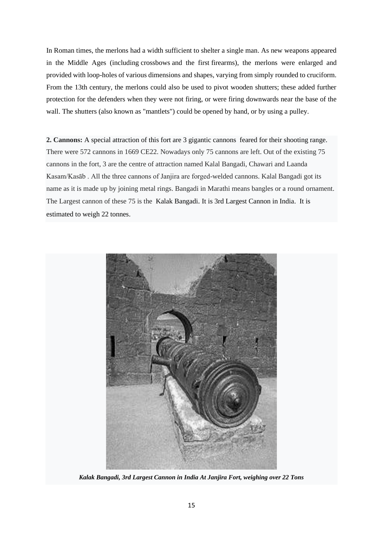In [Roman times,](https://en.wikipedia.org/wiki/Ancient_Rome) the merlons had a width sufficient to shelter a single man. As new weapons appeared in the Middle Ages (including [crossbows](https://en.wikipedia.org/wiki/Crossbow) and the first [firearms\)](https://en.wikipedia.org/wiki/Firearms), the merlons were enlarged and provided with loop-holes of various dimensions and shapes, varying from simply rounded to cruciform. From the 13th century, the merlons could also be used to pivot wooden shutters; these added further protection for the defenders when they were not firing, or were firing downwards near the base of the wall. The shutters (also known as "mantlets") could be opened by hand, or by using a [pulley.](https://en.wikipedia.org/wiki/Pulley)

**2. Cannons:** A special attraction of this fort are 3 gigantic [cannons](https://en.wikipedia.org/wiki/Cannons) feared for their shooting range. There were 572 cannons in 1669 CE22. Nowadays only 75 cannons are left. Out of the existing 75 cannons in the fort, 3 are the centre of attraction named Kalal Bangadi, Chawari and Laanda Kasam/Kasāb . All the three cannons of Janjira are forged-welded cannons. Kalal Bangadi got its name as it is made up by joining metal rings. Bangadi in Marathi means bangles or a round ornament. The Largest cannon of these 75 is the Kalak Bangadi. It is 3rd Largest Cannon in India. It is estimated to weigh 22 tonnes.



*Kalak Bangadi, 3rd Largest Cannon in India At Janjira Fort, weighing over 22 Tons*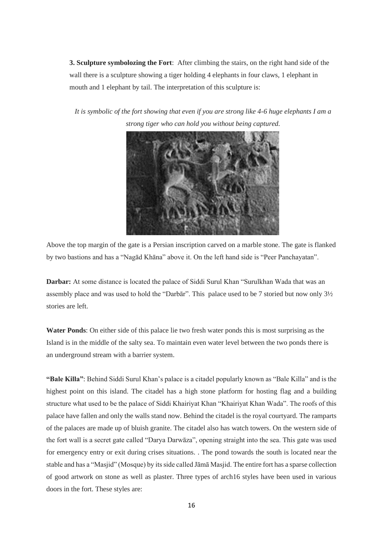**3. Sculpture symbolozing the Fort**: After climbing the stairs, on the right hand side of the wall there is a sculpture showing a tiger holding 4 elephants in four claws, 1 elephant in mouth and 1 elephant by tail. The interpretation of this sculpture is:

*It is symbolic of the fort showing that even if you are strong like 4-6 huge elephants I am a strong tiger who can hold you without being captured.*



Above the top margin of the gate is a Persian inscription carved on a marble stone. The gate is flanked by two bastions and has a "Nagād Khāna" above it. On the left hand side is "Peer Panchayatan".

**Darbar:** At some distance is located the palace of Siddi Surul Khan "Surulkhan Wada that was an assembly place and was used to hold the "Darbār". This palace used to be 7 storied but now only 3½ stories are left.

**Water Ponds**: On either side of this palace lie two fresh water ponds this is most surprising as the Island is in the middle of the salty sea. To maintain even water level between the two ponds there is an underground stream with a barrier system.

**"Bale Killa"**: Behind Siddi Surul Khan's palace is a citadel popularly known as "Bale Killa" and is the highest point on this island. The citadel has a high stone platform for hosting flag and a building structure what used to be the palace of Siddi Khairiyat Khan "Khairiyat Khan Wada". The roofs of this palace have fallen and only the walls stand now. Behind the citadel is the royal courtyard. The ramparts of the palaces are made up of bluish granite. The citadel also has watch towers. On the western side of the fort wall is a secret gate called "Darya Darwāza", opening straight into the sea. This gate was used for emergency entry or exit during crises situations. . The pond towards the south is located near the stable and has a "Masjid" (Mosque) by its side called Jāmā Masjid. The entire fort has a sparse collection of good artwork on stone as well as plaster. Three types of arch16 styles have been used in various doors in the fort. These styles are: